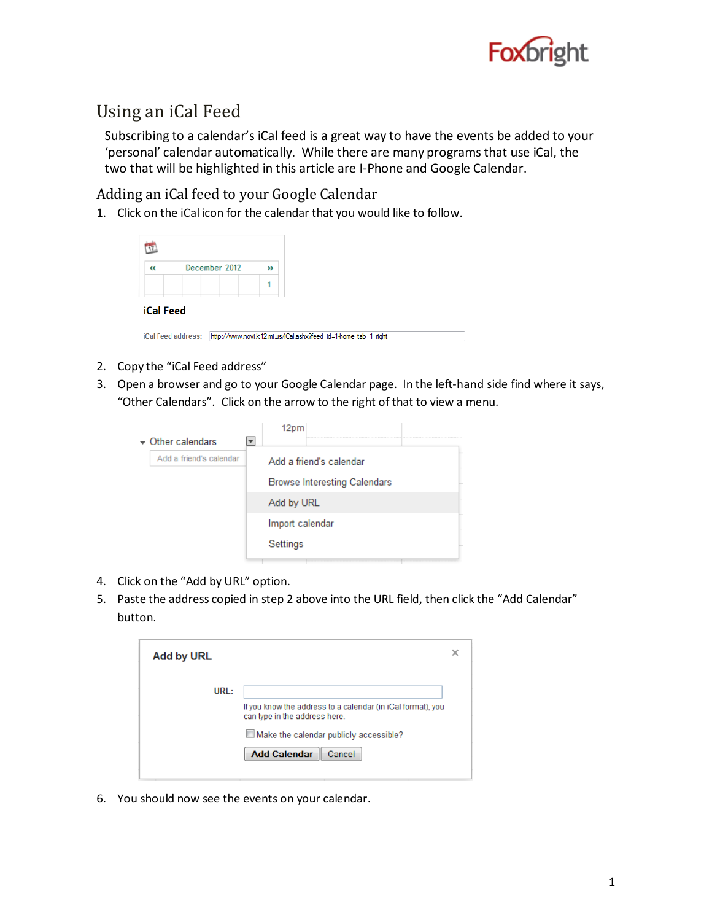

## Using an iCal Feed

Subscribing to a calendar's iCal feed is a great way to have the events be added to your 'personal' calendar automatically. While there are many programsthat use iCal, the two that will be highlighted in this article are I-Phone and Google Calendar.

Adding an iCal feed to your Google Calendar

1. Click on the iCal icon for the calendar that you would like to follow.

| $\ll$            | December 2012 | >> |
|------------------|---------------|----|
|                  |               |    |
| <b>iCal Feed</b> |               |    |

| iCal Feed address: | http://www.novi.k12.mi.us/iCal.ashx?feed_id=1-home_tab_1_right |
|--------------------|----------------------------------------------------------------|
|                    |                                                                |

- 2. Copy the "iCal Feed address"
- 3. Open a browser and go to your Google Calendar page. In the left-hand side find where it says, "Other Calendars". Click on the arrow to the right of that to view a menu.

|                           | 12pm            |                                     |  |
|---------------------------|-----------------|-------------------------------------|--|
| $\bullet$ Other calendars |                 |                                     |  |
| Add a friend's calendar   |                 | Add a friend's calendar             |  |
|                           |                 | <b>Browse Interesting Calendars</b> |  |
|                           | Add by URL      |                                     |  |
|                           | Import calendar |                                     |  |
|                           | Settings        |                                     |  |

- 4. Click on the "Add by URL" option.
- 5. Paste the address copied in step 2 above into the URL field, then click the "Add Calendar" button.

| <b>Add by URL</b> |                                                                                                                                                                                |  |
|-------------------|--------------------------------------------------------------------------------------------------------------------------------------------------------------------------------|--|
| URL:              | If you know the address to a calendar (in iCal format), you<br>can type in the address here.<br>$\Box$ Make the calendar publicly accessible?<br><b>Add Calendar</b><br>Cancel |  |

6. You should now see the events on your calendar.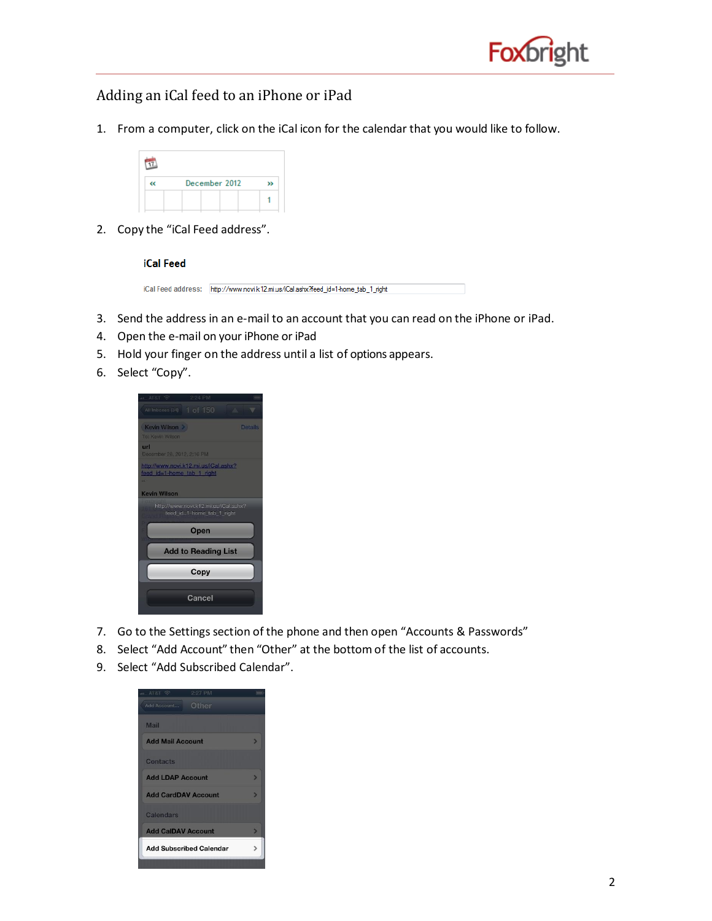

## Adding an iCal feed to an iPhone or iPad

1. From a computer, click on the iCal icon for the calendar that you would like to follow.

| December 2012 |  |
|---------------|--|
|               |  |

2. Copy the "iCal Feed address".

## **iCal Feed**

| iCal Feed address: http://www.novi.k12.mi.us/iCal.ashx?feed_id=1-home_tab_1_right |
|-----------------------------------------------------------------------------------|

- 3. Send the address in an e-mail to an account that you can read on the iPhone or iPad.
- 4. Open the e-mail on your iPhone or iPad
- 5. Hold your finger on the address until a list of options appears.
- 6. Select "Copy".



- 7. Go to the Settings section of the phone and then open "Accounts & Passwords"
- 8. Select "Add Account" then "Other" at the bottomof the list of accounts.
- 9. Select "Add Subscribed Calendar".

| $-$ AT&T                       | 2:27 PM | $\equiv$ |
|--------------------------------|---------|----------|
| Add Account                    | Other   |          |
| <b>Mail</b>                    |         |          |
| <b>Add Mail Account</b>        |         | з        |
| <b>Contacts</b>                |         |          |
| <b>Add LDAP Account</b>        |         | ь        |
| <b>Add CardDAV Account</b>     |         | ь        |
| Calendars                      |         |          |
| <b>Add CalDAV Account</b>      |         |          |
| <b>Add Subscribed Calendar</b> |         |          |
|                                |         |          |